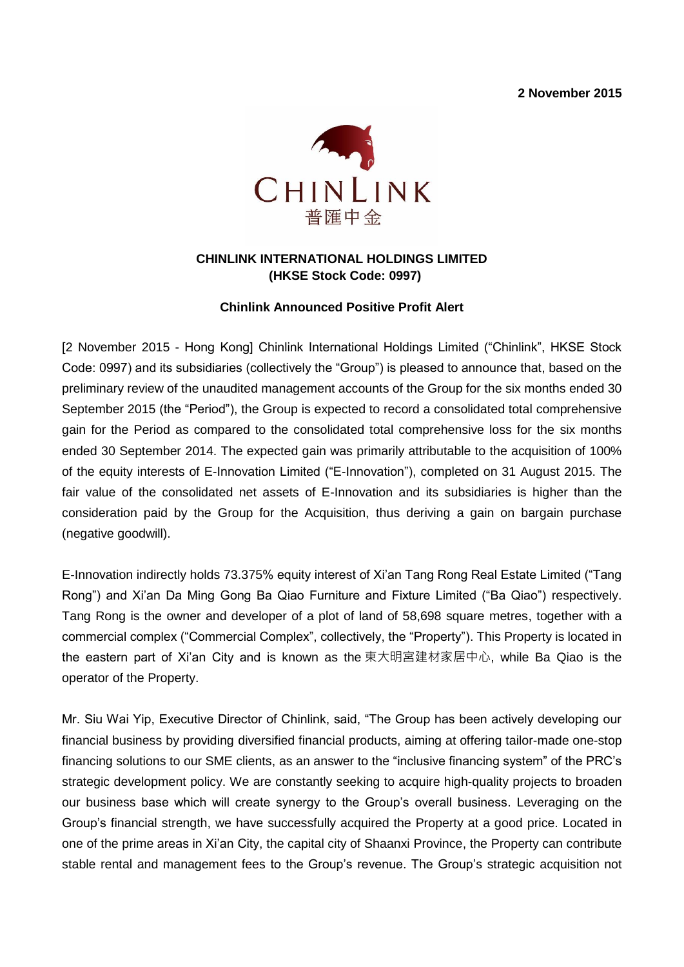**2 November 2015**



# **CHINLINK INTERNATIONAL HOLDINGS LIMITED (HKSE Stock Code: 0997)**

# **Chinlink Announced Positive Profit Alert**

[2 November 2015 - Hong Kong] Chinlink International Holdings Limited ("Chinlink", HKSE Stock Code: 0997) and its subsidiaries (collectively the "Group") is pleased to announce that, based on the preliminary review of the unaudited management accounts of the Group for the six months ended 30 September 2015 (the "Period"), the Group is expected to record a consolidated total comprehensive gain for the Period as compared to the consolidated total comprehensive loss for the six months ended 30 September 2014. The expected gain was primarily attributable to the acquisition of 100% of the equity interests of E-Innovation Limited ("E-Innovation"), completed on 31 August 2015. The fair value of the consolidated net assets of E-Innovation and its subsidiaries is higher than the consideration paid by the Group for the Acquisition, thus deriving a gain on bargain purchase (negative goodwill).

E-Innovation indirectly holds 73.375% equity interest of Xi'an Tang Rong Real Estate Limited ("Tang Rong") and Xi'an Da Ming Gong Ba Qiao Furniture and Fixture Limited ("Ba Qiao") respectively. Tang Rong is the owner and developer of a plot of land of 58,698 square metres, together with a commercial complex ("Commercial Complex", collectively, the "Property"). This Property is located in the eastern part of Xi'an City and is known as the 東大明宮建材家居中心, while Ba Qiao is the operator of the Property.

Mr. Siu Wai Yip, Executive Director of Chinlink, said, "The Group has been actively developing our financial business by providing diversified financial products, aiming at offering tailor-made one-stop financing solutions to our SME clients, as an answer to the "inclusive financing system" of the PRC's strategic development policy. We are constantly seeking to acquire high-quality projects to broaden our business base which will create synergy to the Group's overall business. Leveraging on the Group's financial strength, we have successfully acquired the Property at a good price. Located in one of the prime areas in Xi'an City, the capital city of Shaanxi Province, the Property can contribute stable rental and management fees to the Group's revenue. The Group's strategic acquisition not